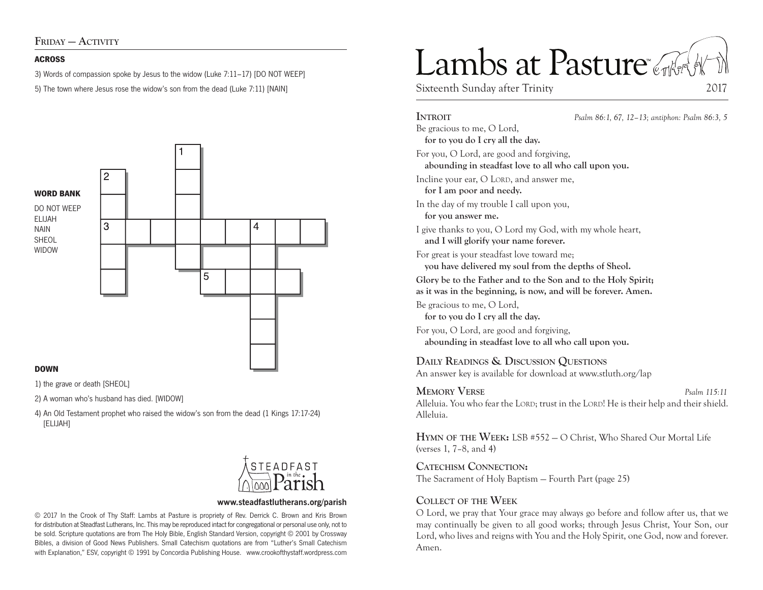FRIDAY — ACTIVITY

#### **ACROSS**

3) Words of compassion spoke by Jesus to the widow (Luke 7:11–17) [DO NOT WEEP]

5) The town where Jesus rose the widow's son from the dead (Luke 7:11) [NAIN]



#### **DOWN**

1) the grave or death [SHEOL]

2) A woman who's husband has died. [WIDOW]

4) An Old Testament prophet who raised the widow's son from the dead (1 Kings 17:17-24) [ELIJAH]



#### **www.steadfastlutherans.org/parish**

© 2017 In the Crook of Thy Staff: Lambs at Pasture is propriety of Rev. Derrick C. Brown and Kris Brown for distribution at Steadfast Lutherans, Inc. This may be reproduced intact for congregational or personal use only, not to be sold. Scripture quotations are from The Holy Bible, English Standard Version, copyright © 2001 by Crossway Bibles, a division of Good News Publishers. Small Catechism quotations are from "Luther's Small Catechism with Explanation," ESV, copyright © 1991 by Concordia Publishing House. www.crookofthystaff.wordpress.com

# Lambs at Pasture

Sixteenth Sunday after Trinity 2017

# **Introit** *Psalm 86:1, 67, 12–13; antiphon: Psalm 86:3, 5* Be gracious to me, O Lord, **for to you do I cry all the day.**  For you, O Lord, are good and forgiving, **abounding in steadfast love to all who call upon you.**  Incline your ear, O LORD, and answer me, **for I am poor and needy.**  In the day of my trouble I call upon you, **for you answer me.**  I give thanks to you, O Lord my God, with my whole heart, **and I will glorify your name forever.**  For great is your steadfast love toward me;

**you have delivered my soul from the depths of Sheol.** 

**Glory be to the Father and to the Son and to the Holy Spirit;** 

**as it was in the beginning, is now, and will be forever. Amen.**

Be gracious to me, O Lord,

**for to you do I cry all the day.** 

For you, O Lord, are good and forgiving, **abounding in steadfast love to all who call upon you.** 

# **Daily Readings & Discussion Questions**

An answer key is available for download at www.stluth.org/lap

# **Memory Verse** *Psalm 115:11*

Alleluia. You who fear the LORD; trust in the LORD! He is their help and their shield. Alleluia.

**Hymn of the Week:** LSB #552 — O Christ, Who Shared Our Mortal Life (verses 1, 7–8, and 4)

**Catechism Connection:** 

The Sacrament of Holy Baptism — Fourth Part (page 25)

# **Collect of the Week**

O Lord, we pray that Your grace may always go before and follow after us, that we may continually be given to all good works; through Jesus Christ, Your Son, our Lord, who lives and reigns with You and the Holy Spirit, one God, now and forever. Amen.